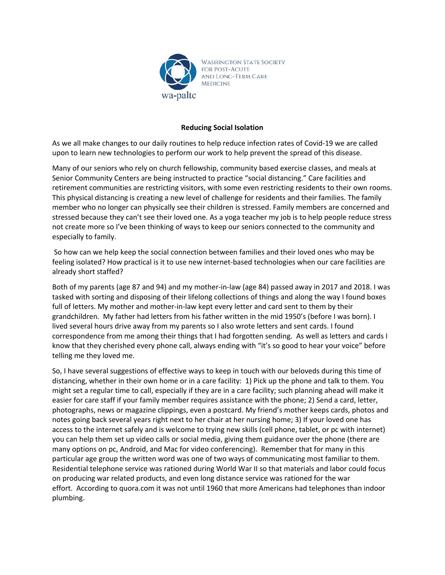

## **Reducing Social Isolation**

As we all make changes to our daily routines to help reduce infection rates of Covid-19 we are called upon to learn new technologies to perform our work to help prevent the spread of this disease.

Many of our seniors who rely on church fellowship, community based exercise classes, and meals at Senior Community Centers are being instructed to practice "social distancing." Care facilities and retirement communities are restricting visitors, with some even restricting residents to their own rooms. This physical distancing is creating a new level of challenge for residents and their families. The family member who no longer can physically see their children is stressed. Family members are concerned and stressed because they can't see their loved one. As a yoga teacher my job is to help people reduce stress not create more so I've been thinking of ways to keep our seniors connected to the community and especially to family.

So how can we help keep the social connection between families and their loved ones who may be feeling isolated? How practical is it to use new internet-based technologies when our care facilities are already short staffed?

Both of my parents (age 87 and 94) and my mother-in-law (age 84) passed away in 2017 and 2018. I was tasked with sorting and disposing of their lifelong collections of things and along the way I found boxes full of letters. My mother and mother-in-law kept every letter and card sent to them by their grandchildren. My father had letters from his father written in the mid 1950's (before I was born). I lived several hours drive away from my parents so I also wrote letters and sent cards. I found correspondence from me among their things that I had forgotten sending. As well as letters and cards I know that they cherished every phone call, always ending with "it's so good to hear your voice" before telling me they loved me.

So, I have several suggestions of effective ways to keep in touch with our beloveds during this time of distancing, whether in their own home or in a care facility: 1) Pick up the phone and talk to them. You might set a regular time to call, especially if they are in a care facility; such planning ahead will make it easier for care staff if your family member requires assistance with the phone; 2) Send a card, letter, photographs, news or magazine clippings, even a postcard. My friend's mother keeps cards, photos and notes going back several years right next to her chair at her nursing home; 3) If your loved one has access to the internet safely and is welcome to trying new skills (cell phone, tablet, or pc with internet) you can help them set up video calls or social media, giving them guidance over the phone (there are many options on pc, Android, and Mac for video conferencing). Remember that for many in this particular age group the written word was one of two ways of communicating most familiar to them. Residential telephone service was rationed during World War II so that materials and labor could focus on producing war related products, and even long distance service was rationed for the war effort. According to quora.com it was not until 1960 that more Americans had telephones than indoor plumbing.